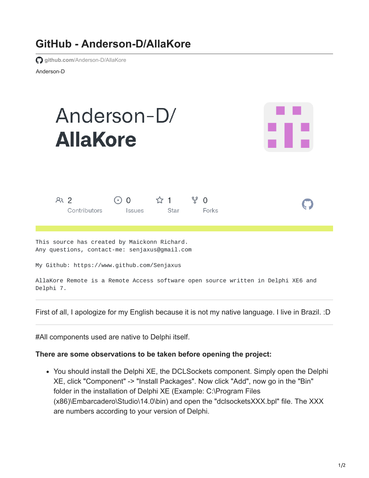## **GitHub - Anderson-D/AllaKore**

**github.com**[/Anderson-D/AllaKore](https://github.com/Anderson-D/AllaKore)

Anderson-D

| Anderson-D/<br><b>AllaKore</b>                                                                                                              |                            |             |                        |  |
|---------------------------------------------------------------------------------------------------------------------------------------------|----------------------------|-------------|------------------------|--|
| R <sub>2</sub><br>Contributors                                                                                                              | $\odot$ 0<br><b>Issues</b> | ☆ 1<br>Star | ೪<br>$\Omega$<br>Forks |  |
| This source has created by Maickonn Richard.<br>Any questions, contact-me: senjaxus@gmail.com<br>My Github: https://www.github.com/Senjaxus |                            |             |                        |  |

AllaKore Remote is a Remote Access software open source written in Delphi XE6 and Delphi 7.

First of all, I apologize for my English because it is not my native language. I live in Brazil. : D

#All components used are native to Delphi itself.

## **There are some observations to be taken before opening the project:**

You should install the Delphi XE, the DCLSockets component. Simply open the Delphi XE, click "Component" -> "Install Packages". Now click "Add", now go in the "Bin" folder in the installation of Delphi XE (Example: C:\Program Files (x86)\Embarcadero\Studio\14.0\bin) and open the "dclsocketsXXX.bpl" file. The XXX are numbers according to your version of Delphi.